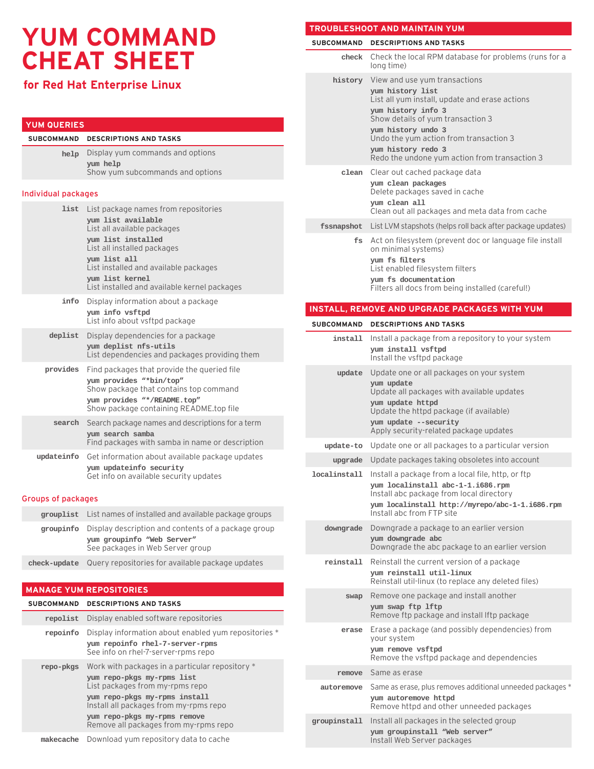# **YUM COMMAND CHEAT SHEET**

# **for Red Hat Enterprise Linux**

## **YUM QUERIES**

| SUBCOMMAND DESCRIPTIONS AND TASKS                                                     |
|---------------------------------------------------------------------------------------|
| help Display yum commands and options<br>yum help<br>Show yum subcommands and options |
|                                                                                       |

#### Individual packages

| list       | List package names from repositories<br>yum list available<br>List all available packages<br>yum list installed<br>List all installed packages<br>yum list all<br>List installed and available packages<br>yum list kernel<br>List installed and available kernel packages |
|------------|----------------------------------------------------------------------------------------------------------------------------------------------------------------------------------------------------------------------------------------------------------------------------|
| info       | Display information about a package<br>yum info vsftpd<br>List info about vsftpd package                                                                                                                                                                                   |
| deplist    | Display dependencies for a package<br>yum deplist nfs-utils<br>List dependencies and packages providing them                                                                                                                                                               |
| provides   | Find packages that provide the queried file<br>yum provides "*bin/top"<br>Show package that contains top command<br>yum provides "*/README.top"<br>Show package containing README.top file                                                                                 |
| search     | Search package names and descriptions for a term<br>yum search samba<br>Find packages with samba in name or description                                                                                                                                                    |
| updateinfo | Get information about available package updates<br>yum updateinfo security<br>Get info on available security updates                                                                                                                                                       |

#### Groups of packages

| <b>grouplist</b> List names of installed and available package groups                                                           |  |
|---------------------------------------------------------------------------------------------------------------------------------|--|
| groupinfo Display description and contents of a package group<br>yum groupinfo "Web Server"<br>See packages in Web Server group |  |
| <b>check-update</b> Query repositories for available package updates                                                            |  |

#### **MANAGE YUM REPOSITORIES**

| <b>SUBCOMMAND</b> | <b>DESCRIPTIONS AND TASKS</b>                                                                                                                                                                                                                                        |
|-------------------|----------------------------------------------------------------------------------------------------------------------------------------------------------------------------------------------------------------------------------------------------------------------|
| repolist          | Display enabled software repositories                                                                                                                                                                                                                                |
| repoinfo          | Display information about enabled yum repositories *<br>yum repoinfo rhel-7-server-rpms<br>See info on rhel-7-server-rpms repo                                                                                                                                       |
| repo-pkgs         | Work with packages in a particular repository *<br>yum repo-pkgs my-rpms list<br>List packages from my-rpms repo<br>yum repo-pkgs my-rpms install<br>Install all packages from my-rpms repo<br>yum repo-pkgs my-rpms remove<br>Remove all packages from my-rpms repo |
| makecache         | Download yum repository data to cache                                                                                                                                                                                                                                |

## **TROUBLESHOOT AND MAINTAIN YUM**

| <b>SUBCOMMAND</b> | <b>DESCRIPTIONS AND TASKS</b>                                                                                                                                                                                      |
|-------------------|--------------------------------------------------------------------------------------------------------------------------------------------------------------------------------------------------------------------|
| check             | Check the local RPM database for problems (runs for a<br>long time)                                                                                                                                                |
| history           | View and use yum transactions                                                                                                                                                                                      |
|                   | yum history list<br>List all yum install, update and erase actions                                                                                                                                                 |
|                   | yum history info 3<br>Show details of yum transaction 3<br>yum history undo 3                                                                                                                                      |
|                   | Undo the yum action from transaction 3                                                                                                                                                                             |
|                   | yum history redo 3<br>Redo the undone yum action from transaction 3                                                                                                                                                |
| clean             | Clear out cached package data<br>yum clean packages<br>Delete packages saved in cache<br>yum clean all                                                                                                             |
|                   | Clean out all packages and meta data from cache                                                                                                                                                                    |
| fssnapshot        | List LVM stapshots (helps roll back after package updates)                                                                                                                                                         |
| fs                | Act on filesystem (prevent doc or language file install<br>on minimal systems)<br>yum fs filters                                                                                                                   |
|                   | List enabled filesystem filters<br>yum fs documentation                                                                                                                                                            |
|                   | Filters all docs from being installed (careful!)                                                                                                                                                                   |
|                   | <b>INSTALL, REMOVE AND UPGRADE PACKAGES WITH YUM</b>                                                                                                                                                               |
| <b>SUBCOMMAND</b> | <b>DESCRIPTIONS AND TASKS</b>                                                                                                                                                                                      |
| install           | Install a package from a repository to your system                                                                                                                                                                 |
|                   | yum install vsftpd<br>Install the vsftpd package                                                                                                                                                                   |
| update            | Update one or all packages on your system<br>yum update                                                                                                                                                            |
|                   | Update all packages with available updates                                                                                                                                                                         |
|                   | yum update httpd<br>Update the httpd package (if available)                                                                                                                                                        |
|                   | yum update --security<br>Apply security-related package updates                                                                                                                                                    |
| update-to         | Update one or all packages to a particular version                                                                                                                                                                 |
| upgrade           | Update packages taking obsoletes into account                                                                                                                                                                      |
| localinstall      | Install a package from a local file, http, or ftp<br>yum localinstall abc-1-1.i686.rpm<br>Install abc package from local directory<br>yum localinstall http://myrepo/abc-1-1.i686.rpm<br>Install abc from FTP site |
| downgrade         | Downgrade a package to an earlier version                                                                                                                                                                          |
|                   | yum downgrade abc<br>Downgrade the abc package to an earlier version                                                                                                                                               |
| reinstall         | Reinstall the current version of a package<br>yum reinstall util-linux<br>Reinstall util-linux (to replace any deleted files)                                                                                      |
| swap              | Remove one package and install another                                                                                                                                                                             |
|                   | yum swap ftp lftp<br>Remove ftp package and install Iftp package                                                                                                                                                   |
| erase             | Erase a package (and possibly dependencies) from<br>your system                                                                                                                                                    |
|                   | yum remove vsftpd<br>Remove the vsftpd package and dependencies                                                                                                                                                    |
| remove            | Same as erase                                                                                                                                                                                                      |
| autoremove        | Same as erase, plus removes additional unneeded packages *<br>yum autoremove httpd                                                                                                                                 |
|                   | Remove httpd and other unneeded packages                                                                                                                                                                           |
| groupinstall      | Install all packages in the selected group<br>yum groupinstall "Web server"<br>Install Web Server packages                                                                                                         |